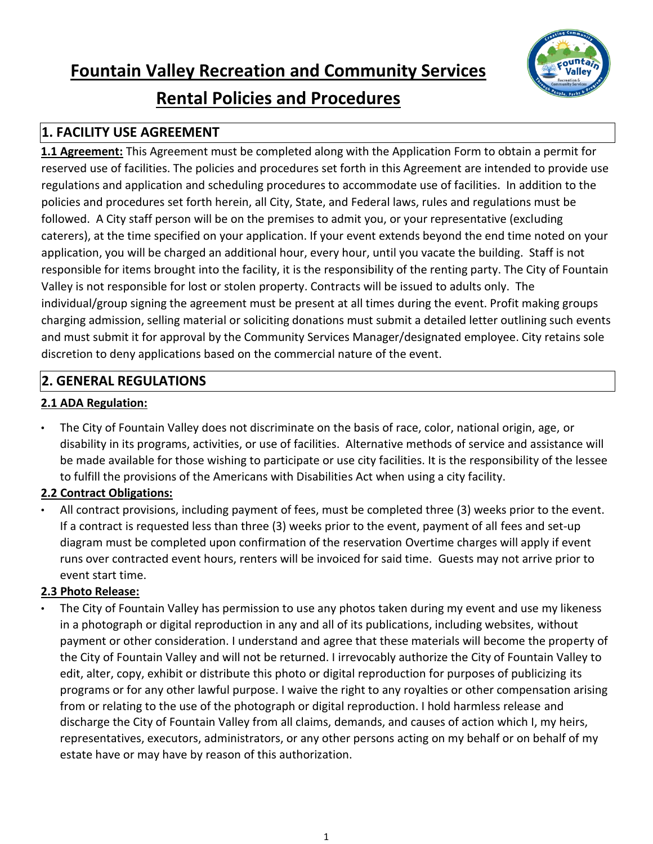



# **Rental Policies and Procedures**

# **1. FACILITY USE AGREEMENT**

**1.1 Agreement:** This Agreement must be completed along with the Application Form to obtain a permit for reserved use of facilities. The policies and procedures set forth in this Agreement are intended to provide use regulations and application and scheduling procedures to accommodate use of facilities. In addition to the policies and procedures set forth herein, all City, State, and Federal laws, rules and regulations must be followed. A City staff person will be on the premises to admit you, or your representative (excluding caterers), at the time specified on your application. If your event extends beyond the end time noted on your application, you will be charged an additional hour, every hour, until you vacate the building. Staff is not responsible for items brought into the facility, it is the responsibility of the renting party. The City of Fountain Valley is not responsible for lost or stolen property. Contracts will be issued to adults only. The individual/group signing the agreement must be present at all times during the event. Profit making groups charging admission, selling material or soliciting donations must submit a detailed letter outlining such events and must submit it for approval by the Community Services Manager/designated employee. City retains sole discretion to deny applications based on the commercial nature of the event.

### **2. GENERAL REGULATIONS**

### **2.1 ADA Regulation:**

• The City of Fountain Valley does not discriminate on the basis of race, color, national origin, age, or disability in its programs, activities, or use of facilities. Alternative methods of service and assistance will be made available for those wishing to participate or use city facilities. It is the responsibility of the lessee to fulfill the provisions of the Americans with Disabilities Act when using a city facility.

### **2.2 Contract Obligations:**

All contract provisions, including payment of fees, must be completed three (3) weeks prior to the event. If a contract is requested less than three (3) weeks prior to the event, payment of all fees and set-up diagram must be completed upon confirmation of the reservation Overtime charges will apply if event runs over contracted event hours, renters will be invoiced for said time. Guests may not arrive prior to event start time.

#### **2.3 Photo Release:**

• The City of Fountain Valley has permission to use any photos taken during my event and use my likeness in a photograph or digital reproduction in any and all of its publications, including websites, without payment or other consideration. I understand and agree that these materials will become the property of the City of Fountain Valley and will not be returned. I irrevocably authorize the City of Fountain Valley to edit, alter, copy, exhibit or distribute this photo or digital reproduction for purposes of publicizing its programs or for any other lawful purpose. I waive the right to any royalties or other compensation arising from or relating to the use of the photograph or digital reproduction. I hold harmless release and discharge the City of Fountain Valley from all claims, demands, and causes of action which I, my heirs, representatives, executors, administrators, or any other persons acting on my behalf or on behalf of my estate have or may have by reason of this authorization.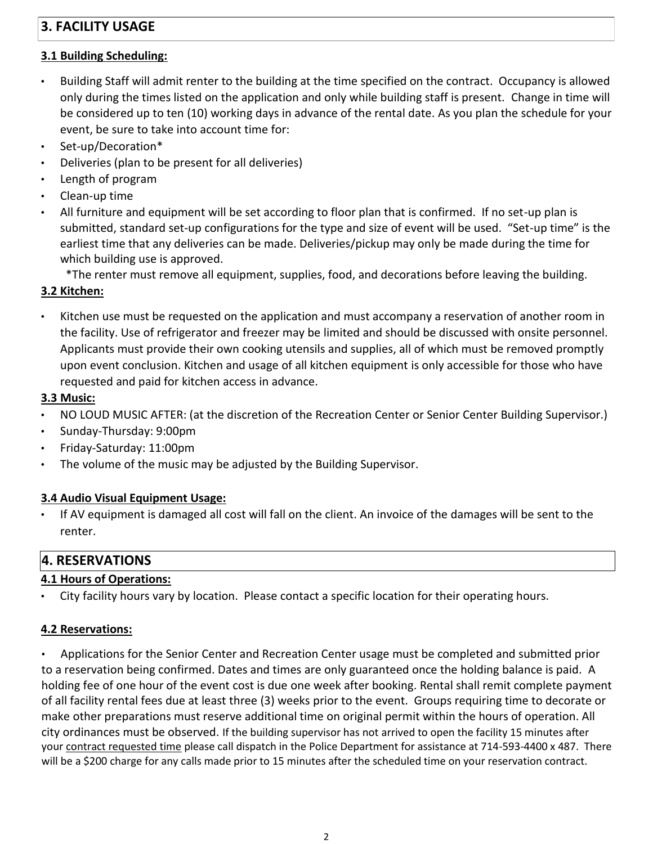# **3. FACILITY USAGE**

### **3.1 Building Scheduling:**

- Building Staff will admit renter to the building at the time specified on the contract. Occupancy is allowed only during the times listed on the application and only while building staff is present. Change in time will be considered up to ten (10) working days in advance of the rental date. As you plan the schedule for your event, be sure to take into account time for:
- Set-up/Decoration\*
- Deliveries (plan to be present for all deliveries)
- Length of program
- Clean-up time
- All furniture and equipment will be set according to floor plan that is confirmed. If no set-up plan is submitted, standard set-up configurations for the type and size of event will be used. "Set-up time" is the earliest time that any deliveries can be made. Deliveries/pickup may only be made during the time for which building use is approved.

\*The renter must remove all equipment, supplies, food, and decorations before leaving the building.

# **3.2 Kitchen:**

• Kitchen use must be requested on the application and must accompany a reservation of another room in the facility. Use of refrigerator and freezer may be limited and should be discussed with onsite personnel. Applicants must provide their own cooking utensils and supplies, all of which must be removed promptly upon event conclusion. Kitchen and usage of all kitchen equipment is only accessible for those who have requested and paid for kitchen access in advance.

### **3.3 Music:**

- NO LOUD MUSIC AFTER: (at the discretion of the Recreation Center or Senior Center Building Supervisor.)
- Sunday-Thursday: 9:00pm
- Friday-Saturday: 11:00pm
- The volume of the music may be adjusted by the Building Supervisor.

# **3.4 Audio Visual Equipment Usage:**

• If AV equipment is damaged all cost will fall on the client. An invoice of the damages will be sent to the renter.

# **4. RESERVATIONS**

# **4.1 Hours of Operations:**

• City facility hours vary by location. Please contact a specific location for their operating hours.

### **4.2 Reservations:**

• Applications for the Senior Center and Recreation Center usage must be completed and submitted prior to a reservation being confirmed. Dates and times are only guaranteed once the holding balance is paid. A holding fee of one hour of the event cost is due one week after booking. Rental shall remit complete payment of all facility rental fees due at least three (3) weeks prior to the event. Groups requiring time to decorate or make other preparations must reserve additional time on original permit within the hours of operation. All city ordinances must be observed. If the building supervisor has not arrived to open the facility 15 minutes after your contract requested time please call dispatch in the Police Department for assistance at 714-593-4400 x 487. There will be a \$200 charge for any calls made prior to 15 minutes after the scheduled time on your reservation contract.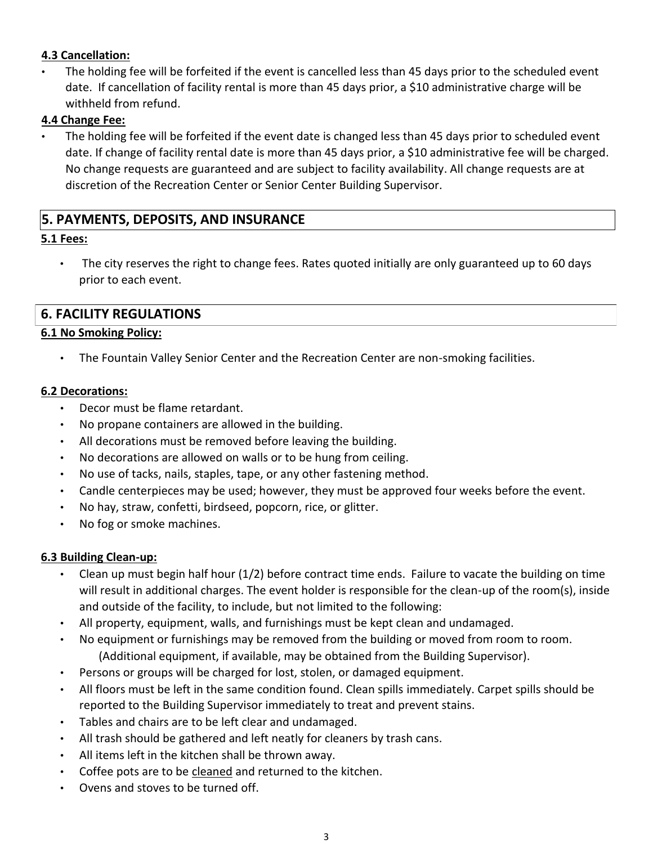### **4.3 Cancellation:**

• The holding fee will be forfeited if the event is cancelled less than 45 days prior to the scheduled event date. If cancellation of facility rental is more than 45 days prior, a \$10 administrative charge will be withheld from refund.

#### **4.4 Change Fee:**

The holding fee will be forfeited if the event date is changed less than 45 days prior to scheduled event date. If change of facility rental date is more than 45 days prior, a \$10 administrative fee will be charged. No change requests are guaranteed and are subject to facility availability. All change requests are at discretion of the Recreation Center or Senior Center Building Supervisor.

### **5. PAYMENTS, DEPOSITS, AND INSURANCE**

#### **5.1 Fees:**

The city reserves the right to change fees. Rates quoted initially are only guaranteed up to 60 days prior to each event.

### **6. FACILITY REGULATIONS**

#### **6.1 No Smoking Policy:**

• The Fountain Valley Senior Center and the Recreation Center are non-smoking facilities.

#### **6.2 Decorations:**

- Decor must be flame retardant.
- No propane containers are allowed in the building.
- All decorations must be removed before leaving the building.
- No decorations are allowed on walls or to be hung from ceiling.
- No use of tacks, nails, staples, tape, or any other fastening method.
- Candle centerpieces may be used; however, they must be approved four weeks before the event.
- No hay, straw, confetti, birdseed, popcorn, rice, or glitter.
- No fog or smoke machines.

#### **6.3 Building Clean-up:**

- Clean up must begin half hour (1/2) before contract time ends. Failure to vacate the building on time will result in additional charges. The event holder is responsible for the clean-up of the room(s), inside and outside of the facility, to include, but not limited to the following:
- All property, equipment, walls, and furnishings must be kept clean and undamaged.
- No equipment or furnishings may be removed from the building or moved from room to room. (Additional equipment, if available, may be obtained from the Building Supervisor).
- Persons or groups will be charged for lost, stolen, or damaged equipment.
- All floors must be left in the same condition found. Clean spills immediately. Carpet spills should be reported to the Building Supervisor immediately to treat and prevent stains.
- Tables and chairs are to be left clear and undamaged.
- All trash should be gathered and left neatly for cleaners by trash cans.
- All items left in the kitchen shall be thrown away.
- Coffee pots are to be cleaned and returned to the kitchen.
- Ovens and stoves to be turned off.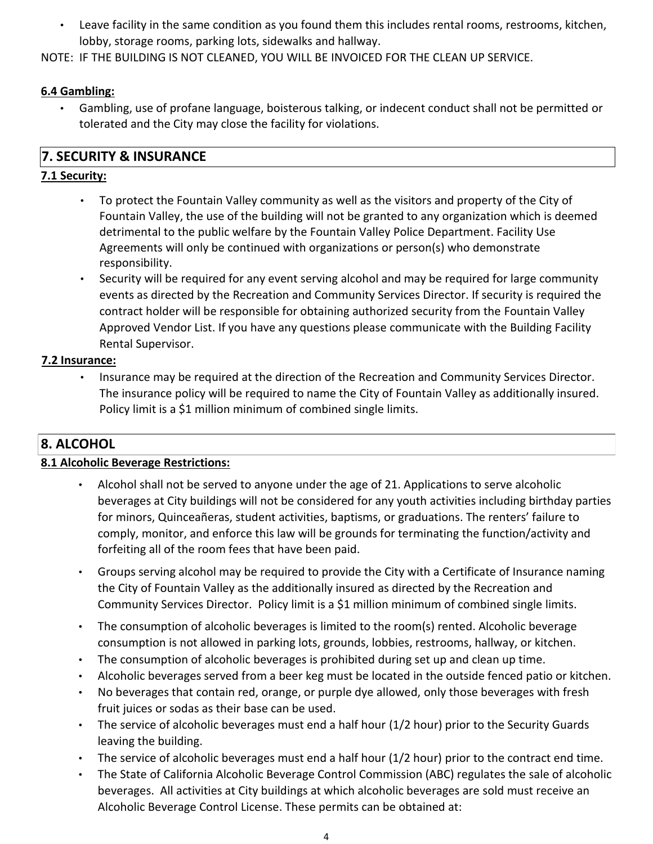• Leave facility in the same condition as you found them this includes rental rooms, restrooms, kitchen, lobby, storage rooms, parking lots, sidewalks and hallway.

NOTE: IF THE BUILDING IS NOT CLEANED, YOU WILL BE INVOICED FOR THE CLEAN UP SERVICE.

### **6.4 Gambling:**

• Gambling, use of profane language, boisterous talking, or indecent conduct shall not be permitted or tolerated and the City may close the facility for violations.

### **7. SECURITY & INSURANCE**

### **7.1 Security:**

- To protect the Fountain Valley community as well as the visitors and property of the City of Fountain Valley, the use of the building will not be granted to any organization which is deemed detrimental to the public welfare by the Fountain Valley Police Department. Facility Use Agreements will only be continued with organizations or person(s) who demonstrate responsibility.
- Security will be required for any event serving alcohol and may be required for large community events as directed by the Recreation and Community Services Director. If security is required the contract holder will be responsible for obtaining authorized security from the Fountain Valley Approved Vendor List. If you have any questions please communicate with the Building Facility Rental Supervisor.

### **7.2 Insurance:**

• Insurance may be required at the direction of the Recreation and Community Services Director. The insurance policy will be required to name the City of Fountain Valley as additionally insured. Policy limit is a \$1 million minimum of combined single limits.

# **8. ALCOHOL**

### **8.1 Alcoholic Beverage Restrictions:**

- Alcohol shall not be served to anyone under the age of 21. Applications to serve alcoholic beverages at City buildings will not be considered for any youth activities including birthday parties for minors, Quinceañeras, student activities, baptisms, or graduations. The renters' failure to comply, monitor, and enforce this law will be grounds for terminating the function/activity and forfeiting all of the room fees that have been paid.
- Groups serving alcohol may be required to provide the City with a Certificate of Insurance naming the City of Fountain Valley as the additionally insured as directed by the Recreation and Community Services Director. Policy limit is a \$1 million minimum of combined single limits.
- The consumption of alcoholic beverages is limited to the room(s) rented. Alcoholic beverage consumption is not allowed in parking lots, grounds, lobbies, restrooms, hallway, or kitchen.
- The consumption of alcoholic beverages is prohibited during set up and clean up time.
- Alcoholic beverages served from a beer keg must be located in the outside fenced patio or kitchen.
- No beverages that contain red, orange, or purple dye allowed, only those beverages with fresh fruit juices or sodas as their base can be used.
- The service of alcoholic beverages must end a half hour (1/2 hour) prior to the Security Guards leaving the building.
- The service of alcoholic beverages must end a half hour (1/2 hour) prior to the contract end time.
- The State of California Alcoholic Beverage Control Commission (ABC) regulates the sale of alcoholic beverages. All activities at City buildings at which alcoholic beverages are sold must receive an Alcoholic Beverage Control License. These permits can be obtained at: